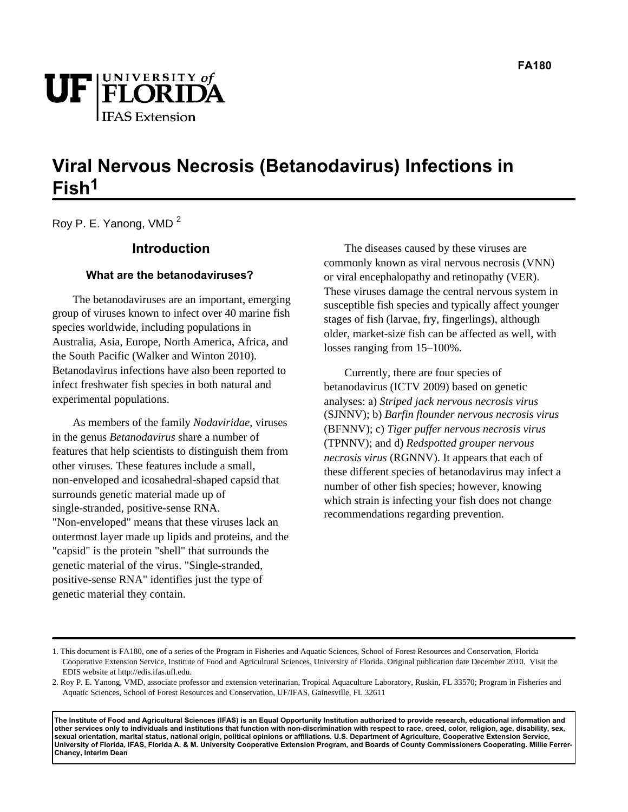

# **Viral Nervous Necrosis (Betanodavirus) Infections in Fish1**

Roy P. E. Yanong, VMD <sup>2</sup>

### **Introduction**

### **What are the betanodaviruses?**

The betanodaviruses are an important, emerging group of viruses known to infect over 40 marine fish species worldwide, including populations in Australia, Asia, Europe, North America, Africa, and the South Pacific (Walker and Winton 2010). Betanodavirus infections have also been reported to infect freshwater fish species in both natural and experimental populations.

As members of the family *Nodaviridae*, viruses in the genus *Betanodavirus* share a number of features that help scientists to distinguish them from other viruses. These features include a small, non-enveloped and icosahedral-shaped capsid that surrounds genetic material made up of single-stranded, positive-sense RNA. "Non-enveloped" means that these viruses lack an outermost layer made up lipids and proteins, and the "capsid" is the protein "shell" that surrounds the genetic material of the virus. "Single-stranded, positive-sense RNA" identifies just the type of genetic material they contain.

The diseases caused by these viruses are commonly known as viral nervous necrosis (VNN) or viral encephalopathy and retinopathy (VER). These viruses damage the central nervous system in susceptible fish species and typically affect younger stages of fish (larvae, fry, fingerlings), although older, market-size fish can be affected as well, with losses ranging from 15–100%.

Currently, there are four species of betanodavirus (ICTV 2009) based on genetic analyses: a) *Striped jack nervous necrosis virus* (SJNNV); b) *Barfin flounder nervous necrosis virus* (BFNNV); c) *Tiger puffer nervous necrosis virus* (TPNNV); and d) *Redspotted grouper nervous necrosis virus* (RGNNV). It appears that each of these different species of betanodavirus may infect a number of other fish species; however, knowing which strain is infecting your fish does not change recommendations regarding prevention.

**The Institute of Food and Agricultural Sciences (IFAS) is an Equal Opportunity Institution authorized to provide research, educational information and other services only to individuals and institutions that function with non-discrimination with respect to race, creed, color, religion, age, disability, sex, sexual orientation, marital status, national origin, political opinions or affiliations. U.S. Department of Agriculture, Cooperative Extension Service, University of Florida, IFAS, Florida A. & M. University Cooperative Extension Program, and Boards of County Commissioners Cooperating. Millie Ferrer-Chancy, Interim Dean**

<sup>1.</sup> This document is FA180, one of a series of the Program in Fisheries and Aquatic Sciences, School of Forest Resources and Conservation, Florida Cooperative Extension Service, Institute of Food and Agricultural Sciences, University of Florida. Original publication date December 2010. Visit the EDIS website at http://edis.ifas.ufl.edu.

<sup>2.</sup> Roy P. E. Yanong, VMD, associate professor and extension veterinarian, Tropical Aquaculture Laboratory, Ruskin, FL 33570; Program in Fisheries and Aquatic Sciences, School of Forest Resources and Conservation, UF/IFAS, Gainesville, FL 32611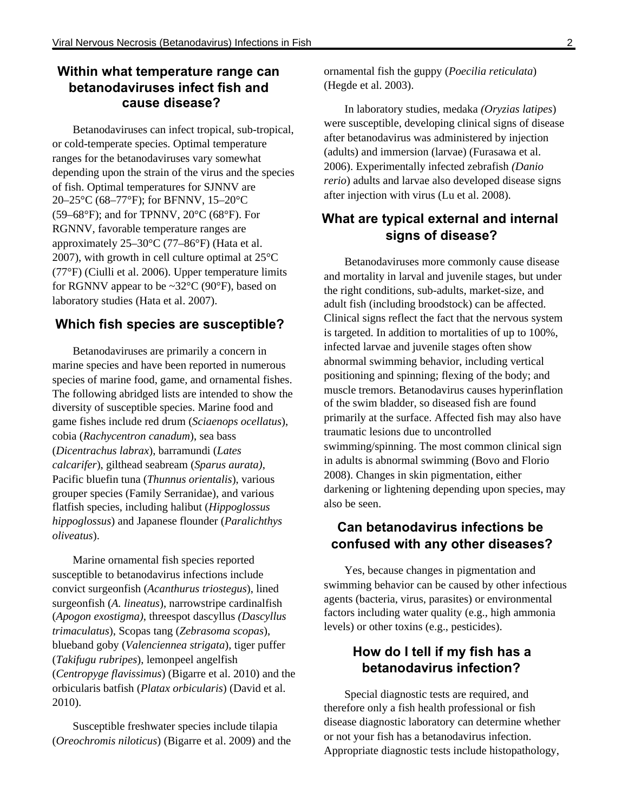# **Within what temperature range can betanodaviruses infect fish and cause disease?**

Betanodaviruses can infect tropical, sub-tropical, or cold-temperate species. Optimal temperature ranges for the betanodaviruses vary somewhat depending upon the strain of the virus and the species of fish. Optimal temperatures for SJNNV are 20–25°C (68–77°F); for BFNNV, 15–20°C (59–68°F); and for TPNNV,  $20^{\circ}$ C (68°F). For RGNNV, favorable temperature ranges are approximately 25–30°C (77–86°F) (Hata et al. 2007), with growth in cell culture optimal at 25°C (77°F) (Ciulli et al. 2006). Upper temperature limits for RGNNV appear to be ~32°C (90°F), based on laboratory studies (Hata et al. 2007).

### **Which fish species are susceptible?**

Betanodaviruses are primarily a concern in marine species and have been reported in numerous species of marine food, game, and ornamental fishes. The following abridged lists are intended to show the diversity of susceptible species. Marine food and game fishes include red drum (*Sciaenops ocellatus*), cobia (*Rachycentron canadum*), sea bass (*Dicentrachus labrax*), barramundi (*Lates calcarifer*), gilthead seabream (*Sparus aurata)*, Pacific bluefin tuna (*Thunnus orientalis*), various grouper species (Family Serranidae), and various flatfish species, including halibut (*Hippoglossus hippoglossus*) and Japanese flounder (*Paralichthys oliveatus*).

Marine ornamental fish species reported susceptible to betanodavirus infections include convict surgeonfish (*Acanthurus triostegus*), lined surgeonfish (*A. lineatus*), narrowstripe cardinalfish (*Apogon exostigma)*, threespot dascyllus *(Dascyllus trimaculatus*), Scopas tang (*Zebrasoma scopas*), blueband goby (*Valenciennea strigata*), tiger puffer (*Takifugu rubripes*), lemonpeel angelfish (*Centropyge flavissimus*) (Bigarre et al. 2010) and the orbicularis batfish (*Platax orbicularis*) (David et al. 2010).

Susceptible freshwater species include tilapia (*Oreochromis niloticus*) (Bigarre et al. 2009) and the ornamental fish the guppy (*Poecilia reticulata*) (Hegde et al. 2003).

In laboratory studies, medaka *(Oryzias latipes*) were susceptible, developing clinical signs of disease after betanodavirus was administered by injection (adults) and immersion (larvae) (Furasawa et al. 2006). Experimentally infected zebrafish *(Danio rerio*) adults and larvae also developed disease signs after injection with virus (Lu et al. 2008).

## **What are typical external and internal signs of disease?**

Betanodaviruses more commonly cause disease and mortality in larval and juvenile stages, but under the right conditions, sub-adults, market-size, and adult fish (including broodstock) can be affected. Clinical signs reflect the fact that the nervous system is targeted. In addition to mortalities of up to 100%, infected larvae and juvenile stages often show abnormal swimming behavior, including vertical positioning and spinning; flexing of the body; and muscle tremors. Betanodavirus causes hyperinflation of the swim bladder, so diseased fish are found primarily at the surface. Affected fish may also have traumatic lesions due to uncontrolled swimming/spinning. The most common clinical sign in adults is abnormal swimming (Bovo and Florio 2008). Changes in skin pigmentation, either darkening or lightening depending upon species, may also be seen.

# **Can betanodavirus infections be confused with any other diseases?**

Yes, because changes in pigmentation and swimming behavior can be caused by other infectious agents (bacteria, virus, parasites) or environmental factors including water quality (e.g., high ammonia levels) or other toxins (e.g., pesticides).

# **How do I tell if my fish has a betanodavirus infection?**

Special diagnostic tests are required, and therefore only a fish health professional or fish disease diagnostic laboratory can determine whether or not your fish has a betanodavirus infection. Appropriate diagnostic tests include histopathology,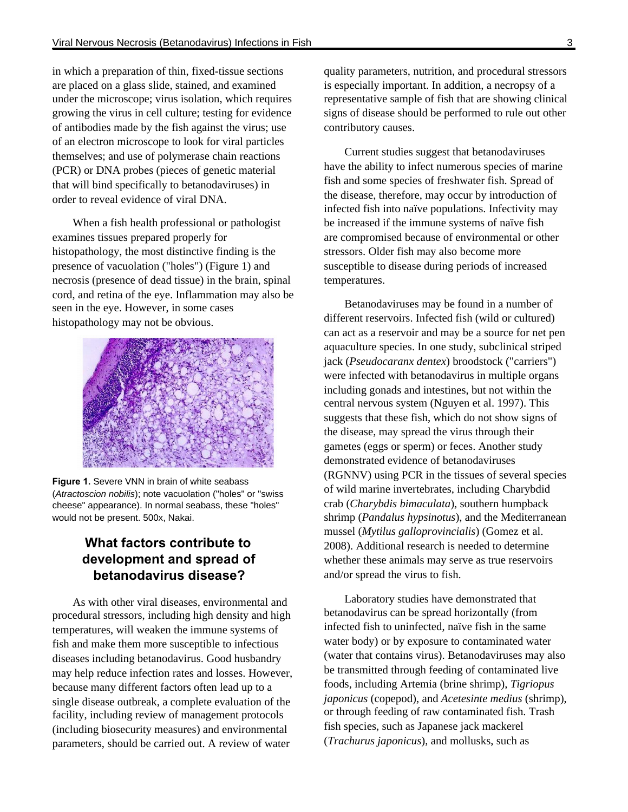in which a preparation of thin, fixed-tissue sections are placed on a glass slide, stained, and examined under the microscope; virus isolation, which requires growing the virus in cell culture; testing for evidence of antibodies made by the fish against the virus; use of an electron microscope to look for viral particles themselves; and use of polymerase chain reactions (PCR) or DNA probes (pieces of genetic material that will bind specifically to betanodaviruses) in order to reveal evidence of viral DNA.

When a fish health professional or pathologist examines tissues prepared properly for histopathology, the most distinctive finding is the presence of vacuolation ("holes") (Figure 1) and necrosis (presence of dead tissue) in the brain, spinal cord, and retina of the eye. Inflammation may also be seen in the eye. However, in some cases histopathology may not be obvious.



**Figure 1.** Severe VNN in brain of white seabass (Atractoscion nobilis); note vacuolation ("holes" or "swiss cheese" appearance). In normal seabass, these "holes" would not be present. 500x, Nakai.

# **What factors contribute to development and spread of betanodavirus disease?**

As with other viral diseases, environmental and procedural stressors, including high density and high temperatures, will weaken the immune systems of fish and make them more susceptible to infectious diseases including betanodavirus. Good husbandry may help reduce infection rates and losses. However, because many different factors often lead up to a single disease outbreak, a complete evaluation of the facility, including review of management protocols (including biosecurity measures) and environmental parameters, should be carried out. A review of water

quality parameters, nutrition, and procedural stressors is especially important. In addition, a necropsy of a representative sample of fish that are showing clinical signs of disease should be performed to rule out other contributory causes.

Current studies suggest that betanodaviruses have the ability to infect numerous species of marine fish and some species of freshwater fish. Spread of the disease, therefore, may occur by introduction of infected fish into naïve populations. Infectivity may be increased if the immune systems of naïve fish are compromised because of environmental or other stressors. Older fish may also become more susceptible to disease during periods of increased temperatures.

Betanodaviruses may be found in a number of different reservoirs. Infected fish (wild or cultured) can act as a reservoir and may be a source for net pen aquaculture species. In one study, subclinical striped jack (*Pseudocaranx dentex*) broodstock ("carriers") were infected with betanodavirus in multiple organs including gonads and intestines, but not within the central nervous system (Nguyen et al. 1997). This suggests that these fish, which do not show signs of the disease, may spread the virus through their gametes (eggs or sperm) or feces. Another study demonstrated evidence of betanodaviruses (RGNNV) using PCR in the tissues of several species of wild marine invertebrates, including Charybdid crab (*Charybdis bimaculata*), southern humpback shrimp (*Pandalus hypsinotus*), and the Mediterranean mussel (*Mytilus galloprovincialis*) (Gomez et al. 2008). Additional research is needed to determine whether these animals may serve as true reservoirs and/or spread the virus to fish.

Laboratory studies have demonstrated that betanodavirus can be spread horizontally (from infected fish to uninfected, naïve fish in the same water body) or by exposure to contaminated water (water that contains virus). Betanodaviruses may also be transmitted through feeding of contaminated live foods, including Artemia (brine shrimp), *Tigriopus japonicus* (copepod), and *Acetesinte medius* (shrimp), or through feeding of raw contaminated fish. Trash fish species, such as Japanese jack mackerel (*Trachurus japonicus*), and mollusks, such as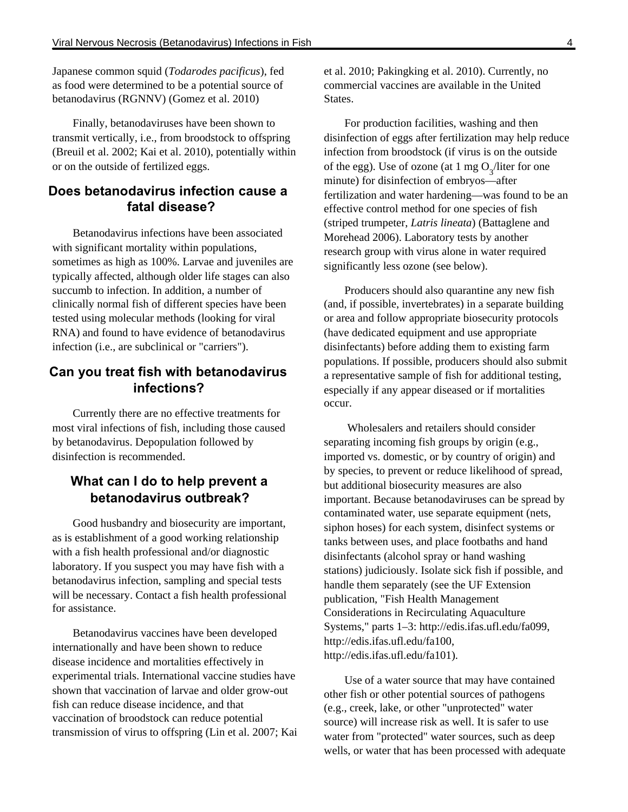Japanese common squid (*Todarodes pacificus*), fed as food were determined to be a potential source of betanodavirus (RGNNV) (Gomez et al. 2010)

Finally, betanodaviruses have been shown to transmit vertically, i.e., from broodstock to offspring (Breuil et al. 2002; Kai et al. 2010), potentially within or on the outside of fertilized eggs.

# **Does betanodavirus infection cause a fatal disease?**

Betanodavirus infections have been associated with significant mortality within populations, sometimes as high as 100%. Larvae and juveniles are typically affected, although older life stages can also succumb to infection. In addition, a number of clinically normal fish of different species have been tested using molecular methods (looking for viral RNA) and found to have evidence of betanodavirus infection (i.e., are subclinical or "carriers").

# **Can you treat fish with betanodavirus infections?**

Currently there are no effective treatments for most viral infections of fish, including those caused by betanodavirus. Depopulation followed by disinfection is recommended.

# **What can I do to help prevent a betanodavirus outbreak?**

Good husbandry and biosecurity are important, as is establishment of a good working relationship with a fish health professional and/or diagnostic laboratory. If you suspect you may have fish with a betanodavirus infection, sampling and special tests will be necessary. Contact a fish health professional for assistance.

Betanodavirus vaccines have been developed internationally and have been shown to reduce disease incidence and mortalities effectively in experimental trials. International vaccine studies have shown that vaccination of larvae and older grow-out fish can reduce disease incidence, and that vaccination of broodstock can reduce potential transmission of virus to offspring (Lin et al. 2007; Kai et al. 2010; Pakingking et al. 2010). Currently, no commercial vaccines are available in the United **States** 

For production facilities, washing and then disinfection of eggs after fertilization may help reduce infection from broodstock (if virus is on the outside of the egg). Use of ozone (at 1 mg  $O_3$ /liter for one minute) for disinfection of embryos—after fertilization and water hardening—was found to be an effective control method for one species of fish (striped trumpeter, *Latris lineata*) (Battaglene and Morehead 2006). Laboratory tests by another research group with virus alone in water required significantly less ozone (see below).

Producers should also quarantine any new fish (and, if possible, invertebrates) in a separate building or area and follow appropriate biosecurity protocols (have dedicated equipment and use appropriate disinfectants) before adding them to existing farm populations. If possible, producers should also submit a representative sample of fish for additional testing, especially if any appear diseased or if mortalities occur.

 Wholesalers and retailers should consider separating incoming fish groups by origin (e.g., imported vs. domestic, or by country of origin) and by species, to prevent or reduce likelihood of spread, but additional biosecurity measures are also important. Because betanodaviruses can be spread by contaminated water, use separate equipment (nets, siphon hoses) for each system, disinfect systems or tanks between uses, and place footbaths and hand disinfectants (alcohol spray or hand washing stations) judiciously. Isolate sick fish if possible, and handle them separately (see the UF Extension publication, "Fish Health Management Considerations in Recirculating Aquaculture Systems," parts 1–3: http://edis.ifas.ufl.edu/fa099, http://edis.ifas.ufl.edu/fa100, http://edis.ifas.ufl.edu/fa101).

Use of a water source that may have contained other fish or other potential sources of pathogens (e.g., creek, lake, or other "unprotected" water source) will increase risk as well. It is safer to use water from "protected" water sources, such as deep wells, or water that has been processed with adequate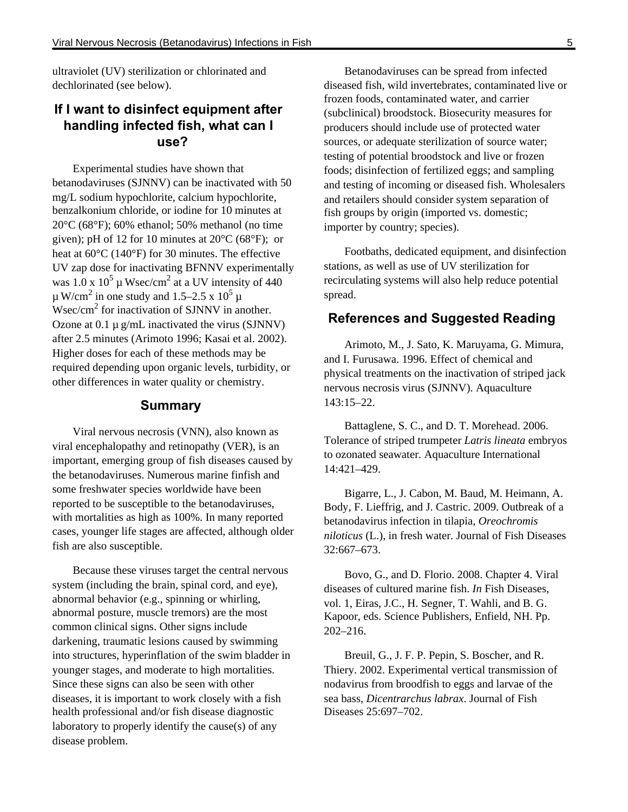ultraviolet (UV) sterilization or chlorinated and dechlorinated (see below).

# **If I want to disinfect equipment after handling infected fish, what can I use?**

Experimental studies have shown that betanodaviruses (SJNNV) can be inactivated with 50 mg/L sodium hypochlorite, calcium hypochlorite, benzalkonium chloride, or iodine for 10 minutes at 20°C (68°F); 60% ethanol; 50% methanol (no time given); pH of 12 for 10 minutes at  $20^{\circ}$ C (68 $^{\circ}$ F); or heat at 60°C (140°F) for 30 minutes. The effective UV zap dose for inactivating BFNNV experimentally was  $1.0 \times 10^5$  µ Wsec/cm<sup>2</sup> at a UV intensity of 440  $\mu$  W/cm<sup>2</sup> in one study and 1.5–2.5 x 10<sup>5</sup>  $\mu$  $W\sec/cm^2$  for inactivation of SJNNV in another. Ozone at  $0.1 \mu$  g/mL inactivated the virus (SJNNV) after 2.5 minutes (Arimoto 1996; Kasai et al. 2002). Higher doses for each of these methods may be required depending upon organic levels, turbidity, or other differences in water quality or chemistry.

### **Summary**

Viral nervous necrosis (VNN), also known as viral encephalopathy and retinopathy (VER), is an important, emerging group of fish diseases caused by the betanodaviruses. Numerous marine finfish and some freshwater species worldwide have been reported to be susceptible to the betanodaviruses, with mortalities as high as 100%. In many reported cases, younger life stages are affected, although older fish are also susceptible.

Because these viruses target the central nervous system (including the brain, spinal cord, and eye), abnormal behavior (e.g., spinning or whirling, abnormal posture, muscle tremors) are the most common clinical signs. Other signs include darkening, traumatic lesions caused by swimming into structures, hyperinflation of the swim bladder in younger stages, and moderate to high mortalities. Since these signs can also be seen with other diseases, it is important to work closely with a fish health professional and/or fish disease diagnostic laboratory to properly identify the cause(s) of any disease problem.

Betanodaviruses can be spread from infected diseased fish, wild invertebrates, contaminated live or frozen foods, contaminated water, and carrier (subclinical) broodstock. Biosecurity measures for producers should include use of protected water sources, or adequate sterilization of source water; testing of potential broodstock and live or frozen foods; disinfection of fertilized eggs; and sampling and testing of incoming or diseased fish. Wholesalers and retailers should consider system separation of fish groups by origin (imported vs. domestic; importer by country; species).

Footbaths, dedicated equipment, and disinfection stations, as well as use of UV sterilization for recirculating systems will also help reduce potential spread.

### **References and Suggested Reading**

Arimoto, M., J. Sato, K. Maruyama, G. Mimura, and I. Furusawa. 1996. Effect of chemical and physical treatments on the inactivation of striped jack nervous necrosis virus (SJNNV). Aquaculture 143:15–22.

Battaglene, S. C., and D. T. Morehead. 2006. Tolerance of striped trumpeter *Latris lineata* embryos to ozonated seawater. Aquaculture International 14:421–429.

Bigarre, L., J. Cabon, M. Baud, M. Heimann, A. Body, F. Lieffrig, and J. Castric. 2009. Outbreak of a betanodavirus infection in tilapia, *Oreochromis niloticus* (L.), in fresh water. Journal of Fish Diseases 32:667–673.

Bovo, G., and D. Florio. 2008. Chapter 4. Viral diseases of cultured marine fish. *In* Fish Diseases, vol. 1, Eiras, J.C., H. Segner, T. Wahli, and B. G. Kapoor, eds. Science Publishers, Enfield, NH. Pp. 202–216.

Breuil, G., J. F. P. Pepin, S. Boscher, and R. Thiery. 2002. Experimental vertical transmission of nodavirus from broodfish to eggs and larvae of the sea bass, *Dicentrarchus labrax*. Journal of Fish Diseases 25:697–702.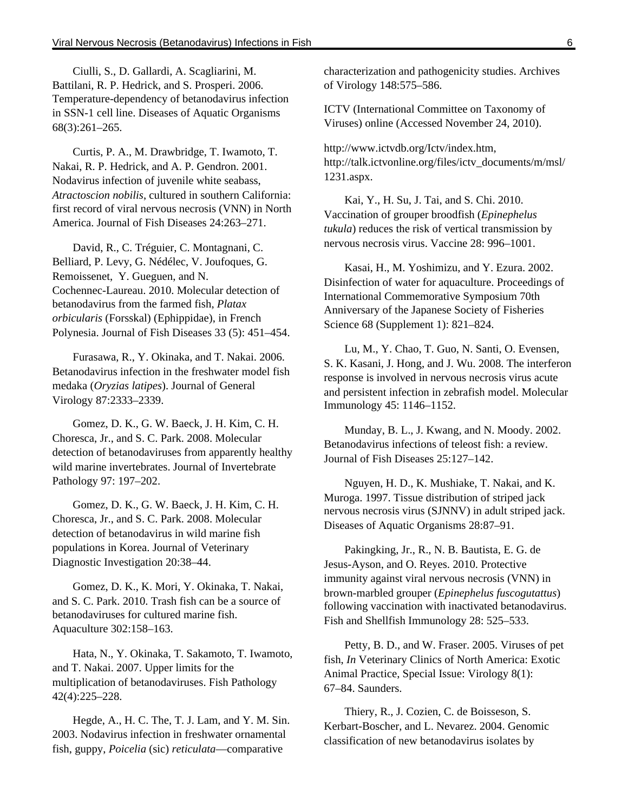Ciulli, S., D. Gallardi, A. Scagliarini, M. Battilani, R. P. Hedrick, and S. Prosperi. 2006. Temperature-dependency of betanodavirus infection in SSN-1 cell line. Diseases of Aquatic Organisms 68(3):261–265.

Curtis, P. A., M. Drawbridge, T. Iwamoto, T. Nakai, R. P. Hedrick, and A. P. Gendron. 2001. Nodavirus infection of juvenile white seabass, *Atractoscion nobilis*, cultured in southern California: first record of viral nervous necrosis (VNN) in North America. Journal of Fish Diseases 24:263–271.

David, R., C. Tréguier, C. Montagnani, C. Belliard, P. Levy, G. Nédélec, V. Joufoques, G. Remoissenet, Y. Gueguen, and N. Cochennec-Laureau. 2010. Molecular detection of betanodavirus from the farmed fish, *Platax orbicularis* (Forsskal) (Ephippidae), in French Polynesia. Journal of Fish Diseases 33 (5): 451–454.

Furasawa, R., Y. Okinaka, and T. Nakai. 2006. Betanodavirus infection in the freshwater model fish medaka (*Oryzias latipes*). Journal of General Virology 87:2333–2339.

Gomez, D. K., G. W. Baeck, J. H. Kim, C. H. Choresca, Jr., and S. C. Park. 2008. Molecular detection of betanodaviruses from apparently healthy wild marine invertebrates. Journal of Invertebrate Pathology 97: 197–202.

Gomez, D. K., G. W. Baeck, J. H. Kim, C. H. Choresca, Jr., and S. C. Park. 2008. Molecular detection of betanodavirus in wild marine fish populations in Korea. Journal of Veterinary Diagnostic Investigation 20:38–44.

Gomez, D. K., K. Mori, Y. Okinaka, T. Nakai, and S. C. Park. 2010. Trash fish can be a source of betanodaviruses for cultured marine fish. Aquaculture 302:158–163.

Hata, N., Y. Okinaka, T. Sakamoto, T. Iwamoto, and T. Nakai. 2007. Upper limits for the multiplication of betanodaviruses. Fish Pathology 42(4):225–228.

Hegde, A., H. C. The, T. J. Lam, and Y. M. Sin. 2003. Nodavirus infection in freshwater ornamental fish, guppy, *Poicelia* (sic) *reticulata*—comparative

characterization and pathogenicity studies. Archives of Virology 148:575–586.

ICTV (International Committee on Taxonomy of Viruses) online (Accessed November 24, 2010).

http://www.ictvdb.org/Ictv/index.htm, http://talk.ictvonline.org/files/ictv\_documents/m/msl/ 1231.aspx.

Kai, Y., H. Su, J. Tai, and S. Chi. 2010. Vaccination of grouper broodfish (*Epinephelus tukula*) reduces the risk of vertical transmission by nervous necrosis virus. Vaccine 28: 996–1001.

Kasai, H., M. Yoshimizu, and Y. Ezura. 2002. Disinfection of water for aquaculture. Proceedings of International Commemorative Symposium 70th Anniversary of the Japanese Society of Fisheries Science 68 (Supplement 1): 821–824.

Lu, M., Y. Chao, T. Guo, N. Santi, O. Evensen, S. K. Kasani, J. Hong, and J. Wu. 2008. The interferon response is involved in nervous necrosis virus acute and persistent infection in zebrafish model. Molecular Immunology 45: 1146–1152.

Munday, B. L., J. Kwang, and N. Moody. 2002. Betanodavirus infections of teleost fish: a review. Journal of Fish Diseases 25:127–142.

Nguyen, H. D., K. Mushiake, T. Nakai, and K. Muroga. 1997. Tissue distribution of striped jack nervous necrosis virus (SJNNV) in adult striped jack. Diseases of Aquatic Organisms 28:87–91.

Pakingking, Jr., R., N. B. Bautista, E. G. de Jesus-Ayson, and O. Reyes. 2010. Protective immunity against viral nervous necrosis (VNN) in brown-marbled grouper (*Epinephelus fuscogutattus*) following vaccination with inactivated betanodavirus. Fish and Shellfish Immunology 28: 525–533.

Petty, B. D., and W. Fraser. 2005. Viruses of pet fish, *In* Veterinary Clinics of North America: Exotic Animal Practice, Special Issue: Virology 8(1): 67–84. Saunders.

Thiery, R., J. Cozien, C. de Boisseson, S. Kerbart-Boscher, and L. Nevarez. 2004. Genomic classification of new betanodavirus isolates by